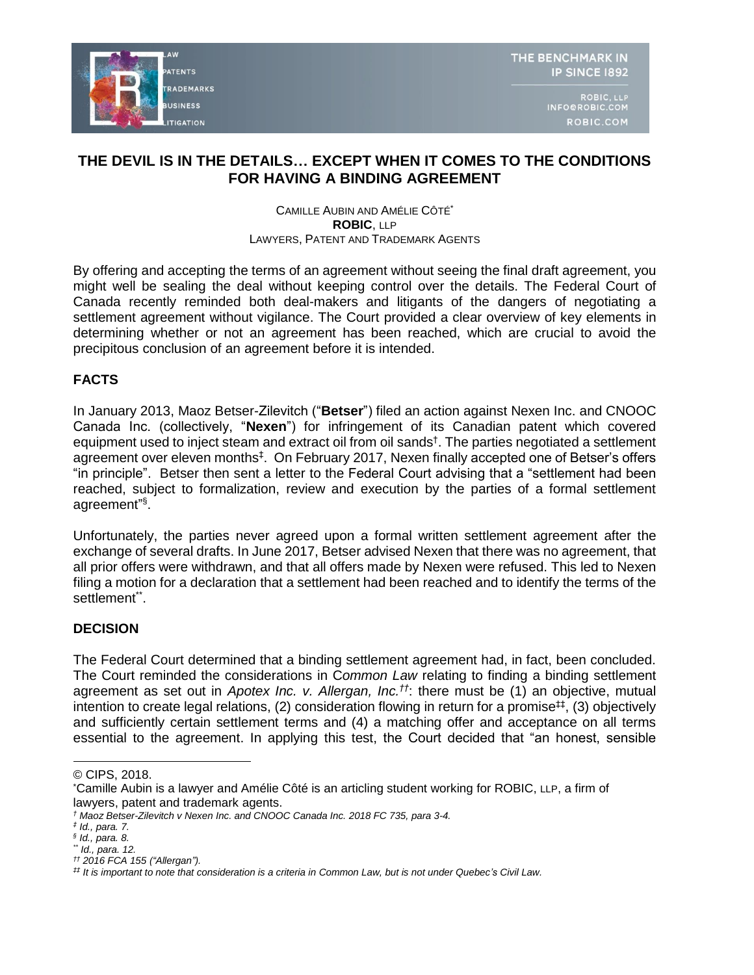

ROBIC, LLP INFO@ROBIC.COM ROBIC.COM

# **THE DEVIL IS IN THE DETAILS… EXCEPT WHEN IT COMES TO THE CONDITIONS FOR HAVING A BINDING AGREEMENT**

#### CAMILLE AUBIN AND AMÉLIE CÔTÉ\* **ROBIC**, LLP LAWYERS, PATENT AND TRADEMARK AGENTS

By offering and accepting the terms of an agreement without seeing the final draft agreement, you might well be sealing the deal without keeping control over the details. The Federal Court of Canada recently reminded both deal-makers and litigants of the dangers of negotiating a settlement agreement without vigilance. The Court provided a clear overview of key elements in determining whether or not an agreement has been reached, which are crucial to avoid the precipitous conclusion of an agreement before it is intended.

# **FACTS**

In January 2013, Maoz Betser-Zilevitch ("**Betser**") filed an action against Nexen Inc. and CNOOC Canada Inc. (collectively, "**Nexen**") for infringement of its Canadian patent which covered equipment used to inject steam and extract oil from oil sands† . The parties negotiated a settlement agreement over eleven months<sup>‡</sup>. On February 2017, Nexen finally accepted one of Betser's offers "in principle". Betser then sent a letter to the Federal Court advising that a "settlement had been reached, subject to formalization, review and execution by the parties of a formal settlement agreement" § .

Unfortunately, the parties never agreed upon a formal written settlement agreement after the exchange of several drafts. In June 2017, Betser advised Nexen that there was no agreement, that all prior offers were withdrawn, and that all offers made by Nexen were refused. This led to Nexen filing a motion for a declaration that a settlement had been reached and to identify the terms of the settlement\*\*.

### **DECISION**

The Federal Court determined that a binding settlement agreement had, in fact, been concluded. The Court reminded the considerations in C*ommon Law* relating to finding a binding settlement agreement as set out in *Apotex Inc. v. Allergan, Inc.††*: there must be (1) an objective, mutual intention to create legal relations, (2) consideration flowing in return for a promise<sup>##</sup>, (3) objectively and sufficiently certain settlement terms and (4) a matching offer and acceptance on all terms essential to the agreement. In applying this test, the Court decided that "an honest, sensible

<sup>©</sup> CIPS, 2018.

<sup>\*</sup>Camille Aubin is a lawyer and Amélie Côté is an articling student working for ROBIC, LLP, a firm of lawyers, patent and trademark agents.

*<sup>†</sup> Maoz Betser-Zilevitch v Nexen Inc. and CNOOC Canada Inc. 2018 FC 735, para 3-4.*

*<sup>‡</sup> Id., para. 7.*

*<sup>§</sup> Id., para. 8.*

*<sup>\*\*</sup> Id., para. 12.*

*<sup>††</sup> 2016 FCA 155 ("Allergan").*

*<sup>‡‡</sup> It is important to note that consideration is a criteria in Common Law, but is not under Quebec's Civil Law.*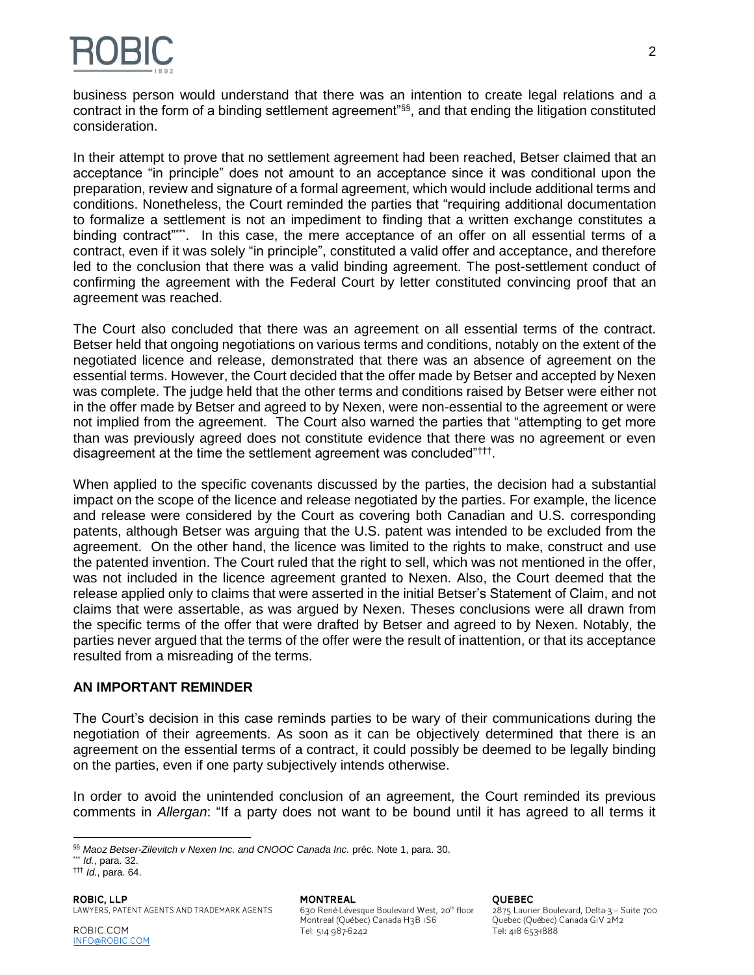

business person would understand that there was an intention to create legal relations and a contract in the form of a binding settlement agreement"§§, and that ending the litigation constituted consideration.

In their attempt to prove that no settlement agreement had been reached, Betser claimed that an acceptance "in principle" does not amount to an acceptance since it was conditional upon the preparation, review and signature of a formal agreement, which would include additional terms and conditions. Nonetheless, the Court reminded the parties that "requiring additional documentation to formalize a settlement is not an impediment to finding that a written exchange constitutes a binding contract"\*\*\*. In this case, the mere acceptance of an offer on all essential terms of a contract, even if it was solely "in principle", constituted a valid offer and acceptance, and therefore led to the conclusion that there was a valid binding agreement. The post-settlement conduct of confirming the agreement with the Federal Court by letter constituted convincing proof that an agreement was reached.

The Court also concluded that there was an agreement on all essential terms of the contract. Betser held that ongoing negotiations on various terms and conditions, notably on the extent of the negotiated licence and release, demonstrated that there was an absence of agreement on the essential terms. However, the Court decided that the offer made by Betser and accepted by Nexen was complete. The judge held that the other terms and conditions raised by Betser were either not in the offer made by Betser and agreed to by Nexen, were non-essential to the agreement or were not implied from the agreement. The Court also warned the parties that "attempting to get more than was previously agreed does not constitute evidence that there was no agreement or even disagreement at the time the settlement agreement was concluded"<sup>†††</sup>.

When applied to the specific covenants discussed by the parties, the decision had a substantial impact on the scope of the licence and release negotiated by the parties. For example, the licence and release were considered by the Court as covering both Canadian and U.S. corresponding patents, although Betser was arguing that the U.S. patent was intended to be excluded from the agreement. On the other hand, the licence was limited to the rights to make, construct and use the patented invention. The Court ruled that the right to sell, which was not mentioned in the offer, was not included in the licence agreement granted to Nexen. Also, the Court deemed that the release applied only to claims that were asserted in the initial Betser's Statement of Claim, and not claims that were assertable, as was argued by Nexen. Theses conclusions were all drawn from the specific terms of the offer that were drafted by Betser and agreed to by Nexen. Notably, the parties never argued that the terms of the offer were the result of inattention, or that its acceptance resulted from a misreading of the terms.

#### **AN IMPORTANT REMINDER**

The Court's decision in this case reminds parties to be wary of their communications during the negotiation of their agreements. As soon as it can be objectively determined that there is an agreement on the essential terms of a contract, it could possibly be deemed to be legally binding on the parties, even if one party subjectively intends otherwise.

In order to avoid the unintended conclusion of an agreement, the Court reminded its previous comments in *Allergan*: "If a party does not want to be bound until it has agreed to all terms it

\*\*\* *Id.*, para. 32.

††† *Id.*, para. 64.

**MONTREAL** 630 René-Lévesque Boulevard West, 20<sup>th</sup> floor Montreal (Québec) Canada H3B IS6 Tel: 514 987-6242

**OUFBEC** 

2875 Laurier Boulevard, Delta-3 - Suite 700 Quebec (Québec) Canada GIV 2M2 Tel: 418 653-1888

 §§ *Maoz Betser-Zilevitch v Nexen Inc. and CNOOC Canada Inc.* préc. Note 1, para. 30.